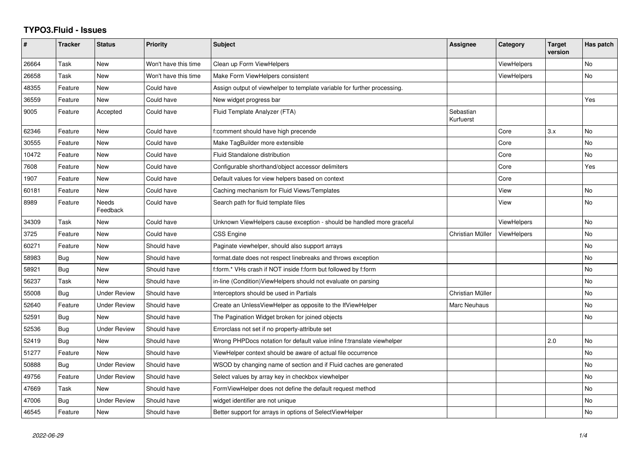## **TYPO3.Fluid - Issues**

| ∦     | <b>Tracker</b> | <b>Status</b>       | <b>Priority</b>      | Subject                                                                  | <b>Assignee</b>        | Category           | <b>Target</b><br>version | Has patch |
|-------|----------------|---------------------|----------------------|--------------------------------------------------------------------------|------------------------|--------------------|--------------------------|-----------|
| 26664 | Task           | <b>New</b>          | Won't have this time | Clean up Form ViewHelpers                                                |                        | <b>ViewHelpers</b> |                          | No        |
| 26658 | Task           | <b>New</b>          | Won't have this time | Make Form ViewHelpers consistent                                         |                        | <b>ViewHelpers</b> |                          | No        |
| 48355 | Feature        | New                 | Could have           | Assign output of viewhelper to template variable for further processing. |                        |                    |                          |           |
| 36559 | Feature        | <b>New</b>          | Could have           | New widget progress bar                                                  |                        |                    |                          | Yes       |
| 9005  | Feature        | Accepted            | Could have           | Fluid Template Analyzer (FTA)                                            | Sebastian<br>Kurfuerst |                    |                          |           |
| 62346 | Feature        | <b>New</b>          | Could have           | f:comment should have high precende                                      |                        | Core               | 3.x                      | No        |
| 30555 | Feature        | New                 | Could have           | Make TagBuilder more extensible                                          |                        | Core               |                          | No        |
| 10472 | Feature        | <b>New</b>          | Could have           | Fluid Standalone distribution                                            |                        | Core               |                          | No        |
| 7608  | Feature        | New                 | Could have           | Configurable shorthand/object accessor delimiters                        |                        | Core               |                          | Yes       |
| 1907  | Feature        | New                 | Could have           | Default values for view helpers based on context                         |                        | Core               |                          |           |
| 60181 | Feature        | <b>New</b>          | Could have           | Caching mechanism for Fluid Views/Templates                              |                        | View               |                          | No        |
| 8989  | Feature        | Needs<br>Feedback   | Could have           | Search path for fluid template files                                     |                        | View               |                          | No        |
| 34309 | Task           | New                 | Could have           | Unknown ViewHelpers cause exception - should be handled more graceful    |                        | <b>ViewHelpers</b> |                          | No        |
| 3725  | Feature        | New                 | Could have           | CSS Engine                                                               | Christian Müller       | ViewHelpers        |                          | No        |
| 60271 | Feature        | <b>New</b>          | Should have          | Paginate viewhelper, should also support arrays                          |                        |                    |                          | No.       |
| 58983 | Bug            | New                 | Should have          | format.date does not respect linebreaks and throws exception             |                        |                    |                          | No.       |
| 58921 | Bug            | New                 | Should have          | f:form.* VHs crash if NOT inside f:form but followed by f:form           |                        |                    |                          | No        |
| 56237 | Task           | <b>New</b>          | Should have          | in-line (Condition) ViewHelpers should not evaluate on parsing           |                        |                    |                          | No        |
| 55008 | Bug            | Under Review        | Should have          | Interceptors should be used in Partials                                  | Christian Müller       |                    |                          | No        |
| 52640 | Feature        | <b>Under Review</b> | Should have          | Create an UnlessViewHelper as opposite to the IfViewHelper               | Marc Neuhaus           |                    |                          | No        |
| 52591 | Bug            | New                 | Should have          | The Pagination Widget broken for joined objects                          |                        |                    |                          | <b>No</b> |
| 52536 | Bug            | <b>Under Review</b> | Should have          | Errorclass not set if no property-attribute set                          |                        |                    |                          |           |
| 52419 | Bug            | New                 | Should have          | Wrong PHPDocs notation for default value inline f:translate viewhelper   |                        |                    | 2.0                      | No        |
| 51277 | Feature        | New                 | Should have          | ViewHelper context should be aware of actual file occurrence             |                        |                    |                          | No        |
| 50888 | Bug            | <b>Under Review</b> | Should have          | WSOD by changing name of section and if Fluid caches are generated       |                        |                    |                          | No        |
| 49756 | Feature        | <b>Under Review</b> | Should have          | Select values by array key in checkbox viewhelper                        |                        |                    |                          | No        |
| 47669 | Task           | New                 | Should have          | FormViewHelper does not define the default request method                |                        |                    |                          | No        |
| 47006 | Bug            | <b>Under Review</b> | Should have          | widget identifier are not unique                                         |                        |                    |                          | No        |
| 46545 | Feature        | New                 | Should have          | Better support for arrays in options of SelectViewHelper                 |                        |                    |                          | No        |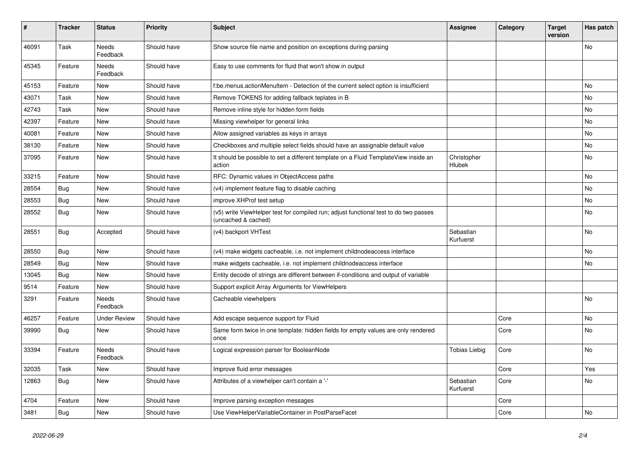| #     | <b>Tracker</b> | <b>Status</b>       | <b>Priority</b> | <b>Subject</b>                                                                                              | Assignee               | Category | Target<br>version | Has patch      |
|-------|----------------|---------------------|-----------------|-------------------------------------------------------------------------------------------------------------|------------------------|----------|-------------------|----------------|
| 46091 | Task           | Needs<br>Feedback   | Should have     | Show source file name and position on exceptions during parsing                                             |                        |          |                   | No             |
| 45345 | Feature        | Needs<br>Feedback   | Should have     | Easy to use comments for fluid that won't show in output                                                    |                        |          |                   |                |
| 45153 | Feature        | New                 | Should have     | f:be.menus.actionMenuItem - Detection of the current select option is insufficient                          |                        |          |                   | No             |
| 43071 | Task           | <b>New</b>          | Should have     | Remove TOKENS for adding fallback teplates in B                                                             |                        |          |                   | No             |
| 42743 | Task           | New                 | Should have     | Remove inline style for hidden form fields                                                                  |                        |          |                   | No             |
| 42397 | Feature        | <b>New</b>          | Should have     | Missing viewhelper for general links                                                                        |                        |          |                   | <b>No</b>      |
| 40081 | Feature        | New                 | Should have     | Allow assigned variables as keys in arrays                                                                  |                        |          |                   | No             |
| 38130 | Feature        | <b>New</b>          | Should have     | Checkboxes and multiple select fields should have an assignable default value                               |                        |          |                   | N <sub>o</sub> |
| 37095 | Feature        | <b>New</b>          | Should have     | It should be possible to set a different template on a Fluid TemplateView inside an<br>action               | Christopher<br>Hlubek  |          |                   | No             |
| 33215 | Feature        | New                 | Should have     | RFC: Dynamic values in ObjectAccess paths                                                                   |                        |          |                   | <b>No</b>      |
| 28554 | Bug            | New                 | Should have     | (v4) implement feature flag to disable caching                                                              |                        |          |                   | No             |
| 28553 | Bug            | <b>New</b>          | Should have     | improve XHProf test setup                                                                                   |                        |          |                   | No             |
| 28552 | Bug            | <b>New</b>          | Should have     | (v5) write ViewHelper test for compiled run; adjust functional test to do two passes<br>(uncached & cached) |                        |          |                   | <b>No</b>      |
| 28551 | Bug            | Accepted            | Should have     | (v4) backport VHTest                                                                                        | Sebastian<br>Kurfuerst |          |                   | No             |
| 28550 | <b>Bug</b>     | <b>New</b>          | Should have     | (v4) make widgets cacheable, i.e. not implement childnodeaccess interface                                   |                        |          |                   | No             |
| 28549 | Bug            | <b>New</b>          | Should have     | make widgets cacheable, i.e. not implement childnodeaccess interface                                        |                        |          |                   | <b>No</b>      |
| 13045 | <b>Bug</b>     | <b>New</b>          | Should have     | Entity decode of strings are different between if-conditions and output of variable                         |                        |          |                   |                |
| 9514  | Feature        | New                 | Should have     | Support explicit Array Arguments for ViewHelpers                                                            |                        |          |                   |                |
| 3291  | Feature        | Needs<br>Feedback   | Should have     | Cacheable viewhelpers                                                                                       |                        |          |                   | <b>No</b>      |
| 46257 | Feature        | <b>Under Review</b> | Should have     | Add escape sequence support for Fluid                                                                       |                        | Core     |                   | No             |
| 39990 | <b>Bug</b>     | New                 | Should have     | Same form twice in one template: hidden fields for empty values are only rendered<br>once                   |                        | Core     |                   | No             |
| 33394 | Feature        | Needs<br>Feedback   | Should have     | Logical expression parser for BooleanNode                                                                   | Tobias Liebig          | Core     |                   | No             |
| 32035 | Task           | New                 | Should have     | Improve fluid error messages                                                                                |                        | Core     |                   | Yes            |
| 12863 | Bug            | New                 | Should have     | Attributes of a viewhelper can't contain a '-'                                                              | Sebastian<br>Kurfuerst | Core     |                   | No             |
| 4704  | Feature        | <b>New</b>          | Should have     | Improve parsing exception messages                                                                          |                        | Core     |                   |                |
| 3481  | Bug            | New                 | Should have     | Use ViewHelperVariableContainer in PostParseFacet                                                           |                        | Core     |                   | No             |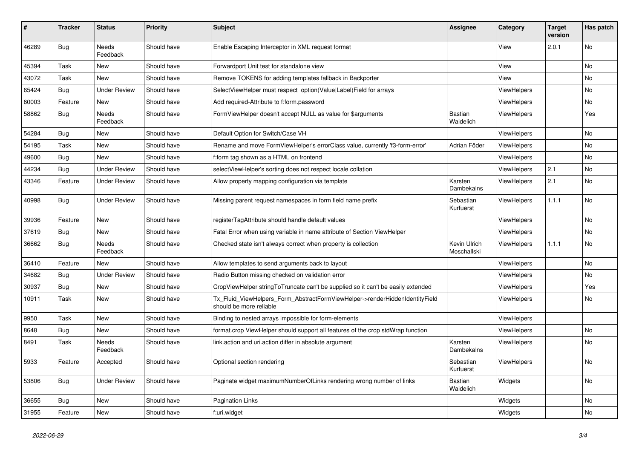| #     | Tracker    | <b>Status</b>       | <b>Priority</b> | <b>Subject</b>                                                                                         | <b>Assignee</b>             | Category           | <b>Target</b><br>version | Has patch      |
|-------|------------|---------------------|-----------------|--------------------------------------------------------------------------------------------------------|-----------------------------|--------------------|--------------------------|----------------|
| 46289 | Bug        | Needs<br>Feedback   | Should have     | Enable Escaping Interceptor in XML request format                                                      |                             | View               | 2.0.1                    | No             |
| 45394 | Task       | New                 | Should have     | Forwardport Unit test for standalone view                                                              |                             | View               |                          | <b>No</b>      |
| 43072 | Task       | New                 | Should have     | Remove TOKENS for adding templates fallback in Backporter                                              |                             | View               |                          | No             |
| 65424 | Bug        | <b>Under Review</b> | Should have     | SelectViewHelper must respect option(Value Label)Field for arrays                                      |                             | <b>ViewHelpers</b> |                          | No             |
| 60003 | Feature    | New                 | Should have     | Add required-Attribute to f:form.password                                                              |                             | <b>ViewHelpers</b> |                          | No             |
| 58862 | Bug        | Needs<br>Feedback   | Should have     | FormViewHelper doesn't accept NULL as value for \$arguments                                            | Bastian<br>Waidelich        | <b>ViewHelpers</b> |                          | Yes            |
| 54284 | <b>Bug</b> | New                 | Should have     | Default Option for Switch/Case VH                                                                      |                             | ViewHelpers        |                          | N <sub>o</sub> |
| 54195 | Task       | <b>New</b>          | Should have     | Rename and move FormViewHelper's errorClass value, currently 'f3-form-error'                           | Adrian Föder                | <b>ViewHelpers</b> |                          | <b>No</b>      |
| 49600 | Bug        | <b>New</b>          | Should have     | f:form tag shown as a HTML on frontend                                                                 |                             | ViewHelpers        |                          | <b>No</b>      |
| 44234 | Bug        | <b>Under Review</b> | Should have     | selectViewHelper's sorting does not respect locale collation                                           |                             | <b>ViewHelpers</b> | 2.1                      | <b>No</b>      |
| 43346 | Feature    | <b>Under Review</b> | Should have     | Allow property mapping configuration via template                                                      | Karsten<br>Dambekalns       | <b>ViewHelpers</b> | 2.1                      | <b>No</b>      |
| 40998 | Bug        | <b>Under Review</b> | Should have     | Missing parent request namespaces in form field name prefix                                            | Sebastian<br>Kurfuerst      | <b>ViewHelpers</b> | 1.1.1                    | <b>No</b>      |
| 39936 | Feature    | New                 | Should have     | registerTagAttribute should handle default values                                                      |                             | <b>ViewHelpers</b> |                          | No             |
| 37619 | Bug        | New                 | Should have     | Fatal Error when using variable in name attribute of Section ViewHelper                                |                             | ViewHelpers        |                          | <b>No</b>      |
| 36662 | Bug        | Needs<br>Feedback   | Should have     | Checked state isn't always correct when property is collection                                         | Kevin Ulrich<br>Moschallski | <b>ViewHelpers</b> | 1.1.1                    | No             |
| 36410 | Feature    | New                 | Should have     | Allow templates to send arguments back to layout                                                       |                             | <b>ViewHelpers</b> |                          | <b>No</b>      |
| 34682 | Bug        | <b>Under Review</b> | Should have     | Radio Button missing checked on validation error                                                       |                             | <b>ViewHelpers</b> |                          | <b>No</b>      |
| 30937 | Bug        | New                 | Should have     | CropViewHelper stringToTruncate can't be supplied so it can't be easily extended                       |                             | ViewHelpers        |                          | Yes            |
| 10911 | Task       | New                 | Should have     | Tx_Fluid_ViewHelpers_Form_AbstractFormViewHelper->renderHiddenIdentityField<br>should be more reliable |                             | ViewHelpers        |                          | <b>No</b>      |
| 9950  | Task       | New                 | Should have     | Binding to nested arrays impossible for form-elements                                                  |                             | <b>ViewHelpers</b> |                          |                |
| 8648  | Bug        | New                 | Should have     | format.crop ViewHelper should support all features of the crop stdWrap function                        |                             | <b>ViewHelpers</b> |                          | <b>No</b>      |
| 8491  | Task       | Needs<br>Feedback   | Should have     | link.action and uri.action differ in absolute argument                                                 | Karsten<br>Dambekalns       | <b>ViewHelpers</b> |                          | <b>No</b>      |
| 5933  | Feature    | Accepted            | Should have     | Optional section rendering                                                                             | Sebastian<br>Kurfuerst      | ViewHelpers        |                          | No             |
| 53806 | Bug        | <b>Under Review</b> | Should have     | Paginate widget maximumNumberOfLinks rendering wrong number of links                                   | Bastian<br>Waidelich        | Widgets            |                          | No             |
| 36655 | Bug        | New                 | Should have     | <b>Pagination Links</b>                                                                                |                             | Widgets            |                          | <b>No</b>      |
| 31955 | Feature    | New                 | Should have     | f:uri.widget                                                                                           |                             | Widgets            |                          | No             |